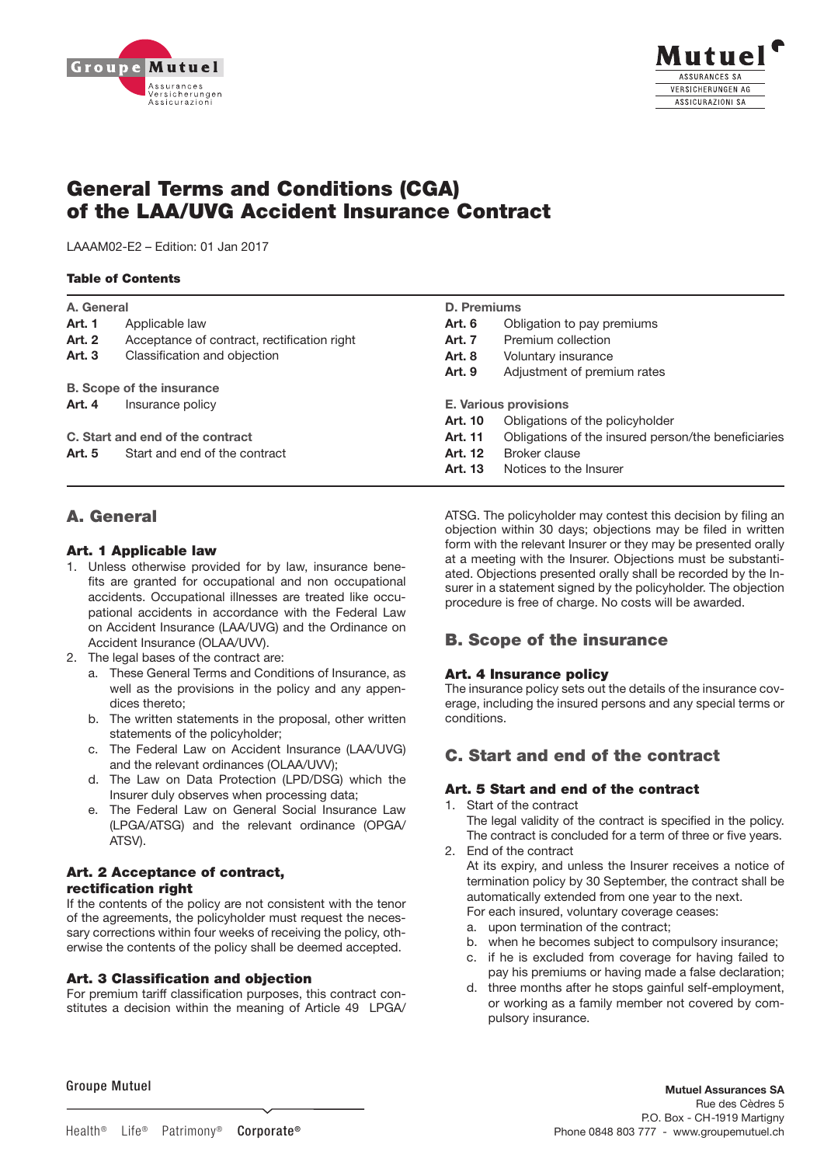



# General Terms and Conditions (CGA) of the LAA/UVG Accident Insurance Contract

LAAAM02-E2 – Edition: 01 Jan 2017

## Table of Contents

| A. General                       |                                             | D. Premiums                  |                                                     |
|----------------------------------|---------------------------------------------|------------------------------|-----------------------------------------------------|
| <b>Art. 1</b>                    | Applicable law                              | Art. 6                       | Obligation to pay premiums                          |
| <b>Art. 2</b>                    | Acceptance of contract, rectification right | Art. 7                       | Premium collection                                  |
| Art. 3                           | Classification and objection                | <b>Art. 8</b>                | Voluntary insurance                                 |
|                                  |                                             | Art. 9                       | Adjustment of premium rates                         |
|                                  | <b>B.</b> Scope of the insurance            |                              |                                                     |
| Art. 4                           | Insurance policy                            | <b>E. Various provisions</b> |                                                     |
|                                  |                                             | Art. 10                      | Obligations of the policyholder                     |
| C. Start and end of the contract |                                             | Art. 11                      | Obligations of the insured person/the beneficiaries |
| Art. 5                           | Start and end of the contract               | Art. 12                      | Broker clause                                       |
|                                  |                                             | Art. 13                      | Notices to the Insurer                              |

## A. General

## Art. 1 Applicable law

- 1. Unless otherwise provided for by law, insurance benefits are granted for occupational and non occupational accidents. Occupational illnesses are treated like occupational accidents in accordance with the Federal Law on Accident Insurance (LAA/UVG) and the Ordinance on Accident Insurance (OLAA/UVV).
- 2. The legal bases of the contract are:
	- a. These General Terms and Conditions of Insurance, as well as the provisions in the policy and any appendices thereto;
	- b. The written statements in the proposal, other written statements of the policyholder;
- c. The Federal Law on Accident Insurance (LAA/UVG) and the relevant ordinances (OLAA/UVV);
- d. The Law on Data Protection (LPD/DSG) which the Insurer duly observes when processing data;
	- e. The Federal Law on General Social Insurance Law (LPGA/ATSG) and the relevant ordinance (OPGA/ ATSV).

## Art. 2 Acceptance of contract, rectification right

If the contents of the policy are not consistent with the tenor In the contents of the policy are not consistent with the tenor<br>of the agreements, the policyholder must request the necessary corrections within four weeks of receiving the policy, otherwise the contents of the policy shall be deemed accepted.

## Art. 3 Classification and objection

For premium tariff classification purposes, this contract constitutes a decision within the meaning of Article 49 LPGA/ Impresa® Patrimonio® Vita® Salute®

ATSG. The policyholder may contest this decision by filing an objection within 30 days; objections may be filed in written form with the relevant Insurer or they may be presented orally at a meeting with the Insurer. Objections must be substantiated. Objections presented orally shall be recorded by the Insurer in a statement signed by the policyholder. The objection procedure is free of charge. No costs will be awarded.

## B. Scope of the insurance

## Art. 4 Insurance policy

The insurance policy sets out the details of the insurance coverage, including the insured persons and any special terms or conditions.

## C. Start and end of the contract

## Art. 5 Start and end of the contract

1. Start of the contract

The legal validity of the contract is specified in the policy. The contract is concluded for a term of three or five years. 2. End of the contract

- At its expiry, and unless the Insurer receives a notice of termination policy by 30 September, the contract shall be automatically extended from one year to the next. For each insured, voluntary coverage ceases:
- a. upon termination of the contract;
- b. when he becomes subject to compulsory insurance;
- c. if he is excluded from coverage for having failed to pay his premiums or having made a false declaration;
- d. three months after he stops gainful self-employment, or working as a family member not covered by compulsory insurance.

Groupe Mutuel